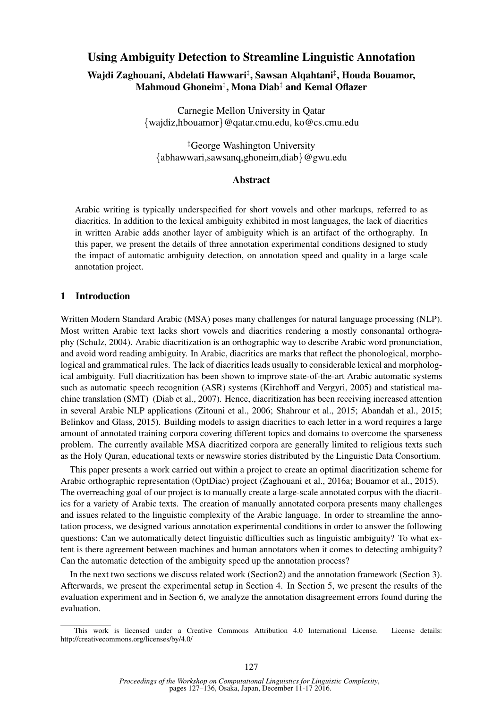# Using Ambiguity Detection to Streamline Linguistic Annotation

# Wajdi Zaghouani, Abdelati Hawwari‡ , Sawsan Alqahtani‡ , Houda Bouamor, Mahmoud Ghoneim‡ , Mona Diab‡ and Kemal Oflazer

Carnegie Mellon University in Qatar {wajdiz,hbouamor}@qatar.cmu.edu, ko@cs.cmu.edu

‡George Washington University {abhawwari,sawsanq,ghoneim,diab}@gwu.edu

#### Abstract

Arabic writing is typically underspecified for short vowels and other markups, referred to as diacritics. In addition to the lexical ambiguity exhibited in most languages, the lack of diacritics in written Arabic adds another layer of ambiguity which is an artifact of the orthography. In this paper, we present the details of three annotation experimental conditions designed to study the impact of automatic ambiguity detection, on annotation speed and quality in a large scale annotation project.

## 1 Introduction

Written Modern Standard Arabic (MSA) poses many challenges for natural language processing (NLP). Most written Arabic text lacks short vowels and diacritics rendering a mostly consonantal orthography (Schulz, 2004). Arabic diacritization is an orthographic way to describe Arabic word pronunciation, and avoid word reading ambiguity. In Arabic, diacritics are marks that reflect the phonological, morphological and grammatical rules. The lack of diacritics leads usually to considerable lexical and morphological ambiguity. Full diacritization has been shown to improve state-of-the-art Arabic automatic systems such as automatic speech recognition (ASR) systems (Kirchhoff and Vergyri, 2005) and statistical machine translation (SMT) (Diab et al., 2007). Hence, diacritization has been receiving increased attention in several Arabic NLP applications (Zitouni et al., 2006; Shahrour et al., 2015; Abandah et al., 2015; Belinkov and Glass, 2015). Building models to assign diacritics to each letter in a word requires a large amount of annotated training corpora covering different topics and domains to overcome the sparseness problem. The currently available MSA diacritized corpora are generally limited to religious texts such as the Holy Quran, educational texts or newswire stories distributed by the Linguistic Data Consortium.

This paper presents a work carried out within a project to create an optimal diacritization scheme for Arabic orthographic representation (OptDiac) project (Zaghouani et al., 2016a; Bouamor et al., 2015). The overreaching goal of our project is to manually create a large-scale annotated corpus with the diacritics for a variety of Arabic texts. The creation of manually annotated corpora presents many challenges and issues related to the linguistic complexity of the Arabic language. In order to streamline the annotation process, we designed various annotation experimental conditions in order to answer the following questions: Can we automatically detect linguistic difficulties such as linguistic ambiguity? To what extent is there agreement between machines and human annotators when it comes to detecting ambiguity? Can the automatic detection of the ambiguity speed up the annotation process?

In the next two sections we discuss related work (Section2) and the annotation framework (Section 3). Afterwards, we present the experimental setup in Section 4. In Section 5, we present the results of the evaluation experiment and in Section 6, we analyze the annotation disagreement errors found during the evaluation.

This work is licensed under a Creative Commons Attribution 4.0 International License. License details: http://creativecommons.org/licenses/by/4.0/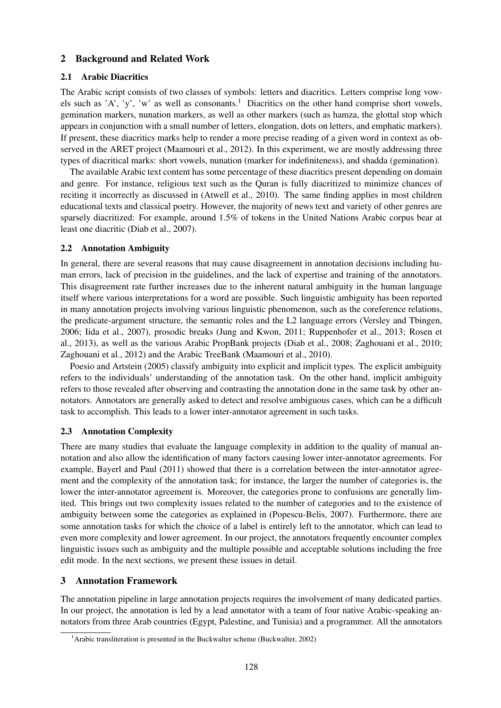## 2 Background and Related Work

#### 2.1 Arabic Diacritics

The Arabic script consists of two classes of symbols: letters and diacritics. Letters comprise long vowels such as 'A', 'y', 'w' as well as consonants.<sup>1</sup> Diacritics on the other hand comprise short vowels, gemination markers, nunation markers, as well as other markers (such as hamza, the glottal stop which appears in conjunction with a small number of letters, elongation, dots on letters, and emphatic markers). If present, these diacritics marks help to render a more precise reading of a given word in context as observed in the ARET project (Maamouri et al., 2012). In this experiment, we are mostly addressing three types of diacritical marks: short vowels, nunation (marker for indefiniteness), and shadda (gemination).

The available Arabic text content has some percentage of these diacritics present depending on domain and genre. For instance, religious text such as the Quran is fully diacritized to minimize chances of reciting it incorrectly as discussed in (Atwell et al., 2010). The same finding applies in most children educational texts and classical poetry. However, the majority of news text and variety of other genres are sparsely diacritized: For example, around 1.5% of tokens in the United Nations Arabic corpus bear at least one diacritic (Diab et al., 2007).

## 2.2 Annotation Ambiguity

In general, there are several reasons that may cause disagreement in annotation decisions including human errors, lack of precision in the guidelines, and the lack of expertise and training of the annotators. This disagreement rate further increases due to the inherent natural ambiguity in the human language itself where various interpretations for a word are possible. Such linguistic ambiguity has been reported in many annotation projects involving various linguistic phenomenon, such as the coreference relations, the predicate-argument structure, the semantic roles and the L2 language errors (Versley and Tbingen, 2006; Iida et al., 2007), prosodic breaks (Jung and Kwon, 2011; Ruppenhofer et al., 2013; Rosen et al., 2013), as well as the various Arabic PropBank projects (Diab et al., 2008; Zaghouani et al., 2010; Zaghouani et al., 2012) and the Arabic TreeBank (Maamouri et al., 2010).

Poesio and Artstein (2005) classify ambiguity into explicit and implicit types. The explicit ambiguity refers to the individuals' understanding of the annotation task. On the other hand, implicit ambiguity refers to those revealed after observing and contrasting the annotation done in the same task by other annotators. Annotators are generally asked to detect and resolve ambiguous cases, which can be a difficult task to accomplish. This leads to a lower inter-annotator agreement in such tasks.

# 2.3 Annotation Complexity

There are many studies that evaluate the language complexity in addition to the quality of manual annotation and also allow the identification of many factors causing lower inter-annotator agreements. For example, Bayerl and Paul (2011) showed that there is a correlation between the inter-annotator agreement and the complexity of the annotation task; for instance, the larger the number of categories is, the lower the inter-annotator agreement is. Moreover, the categories prone to confusions are generally limited. This brings out two complexity issues related to the number of categories and to the existence of ambiguity between some the categories as explained in (Popescu-Belis, 2007). Furthermore, there are some annotation tasks for which the choice of a label is entirely left to the annotator, which can lead to even more complexity and lower agreement. In our project, the annotators frequently encounter complex linguistic issues such as ambiguity and the multiple possible and acceptable solutions including the free edit mode. In the next sections, we present these issues in detail.

# 3 Annotation Framework

The annotation pipeline in large annotation projects requires the involvement of many dedicated parties. In our project, the annotation is led by a lead annotator with a team of four native Arabic-speaking annotators from three Arab countries (Egypt, Palestine, and Tunisia) and a programmer. All the annotators

<sup>&</sup>lt;sup>1</sup> Arabic transliteration is presented in the Buckwalter scheme (Buckwalter, 2002)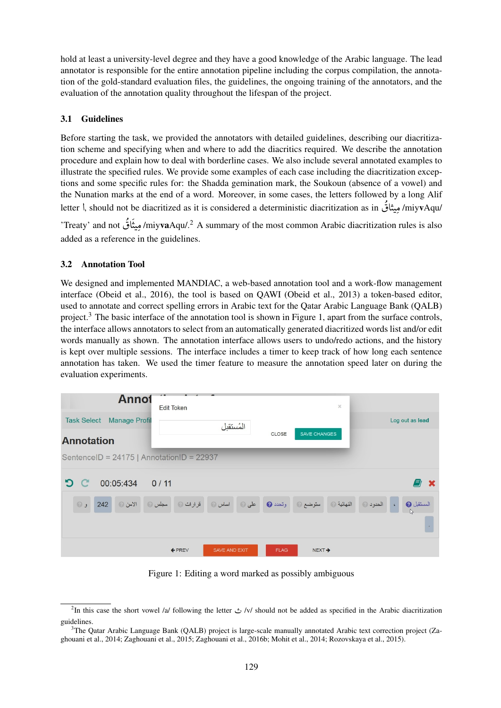hold at least a university-level degree and they have a good knowledge of the Arabic language. The lead annotator is responsible for the entire annotation pipeline including the corpus compilation, the annotation of the gold-standard evaluation files, the guidelines, the ongoing training of the annotators, and the evaluation of the annotation quality throughout the lifespan of the project.

# 3.1 Guidelines

Before starting the task, we provided the annotators with detailed guidelines, describing our diacritization scheme and specifying when and where to add the diacritics required. We describe the annotation procedure and explain how to deal with borderline cases. We also include several annotated examples to illustrate the specified rules. We provide some examples of each case including the diacritization exceptions and some specific rules for: the Shadda gemination mark, the Soukoun (absence of a vowel) and the Nunation marks at the end of a word. Moreover, in some cases, the letters followed by a long Alif letter \, should not be diacritized as it is considered a deterministic diacritization as in وبيثاقُ miyvAqu/  $\frac{1}{2}$ ر<br>ز  $\ddot{ }$  $\overline{\phantom{a}}$ 

'Treaty' and not مِیثَاقُ /miy**va**Aqu/.<sup>2</sup> A summary of the most common Arabic diacritization rules is also ة  $\ddot{\cdot}$  $\tilde{\ddot{\cdot}}$  $\ddot{\cdot}$  $\ddot{\cdot}$ added as a reference in the guidelines.

# 3.2 Annotation Tool

We designed and implemented MANDIAC, a web-based annotation tool and a work-flow management interface (Obeid et al., 2016), the tool is based on QAWI (Obeid et al., 2013) a token-based editor, used to annotate and correct spelling errors in Arabic text for the Qatar Arabic Language Bank (QALB) project.<sup>3</sup> The basic interface of the annotation tool is shown in Figure 1, apart from the surface controls, the interface allows annotators to select from an automatically generated diacritized words list and/or edit words manually as shown. The annotation interface allows users to undo/redo actions, and the history is kept over multiple sessions. The interface includes a timer to keep track of how long each sentence annotation has taken. We used the timer feature to measure the annotation speed later on during the evaluation experiments.



Figure 1: Editing a word marked as possibly ambiguous

 $^{2}$ In this case the short vowel /a/ following the letter  $\dot{\mathcal{L}}$  /v/ should not be added as specified in the Arabic diacritization guidelines.

<sup>&</sup>lt;sup>3</sup>The Oatar Arabic Language Bank (OALB) project is large-scale manually annotated Arabic text correction project (Zaghouani et al., 2014; Zaghouani et al., 2015; Zaghouani et al., 2016b; Mohit et al., 2014; Rozovskaya et al., 2015).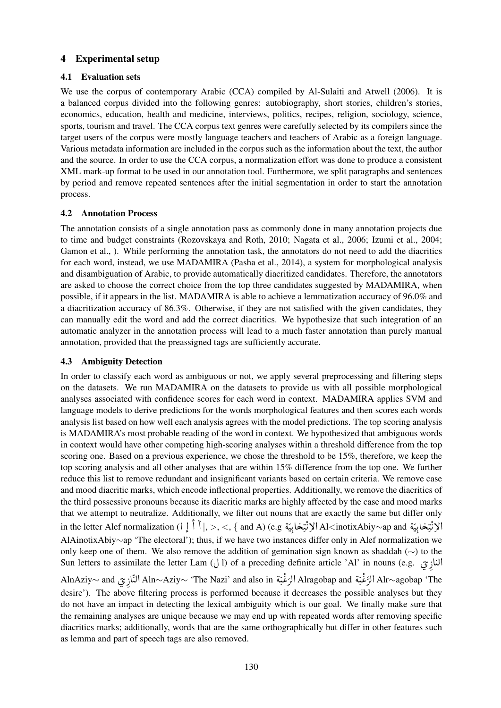# 4 Experimental setup

## 4.1 Evaluation sets

We use the corpus of contemporary Arabic (CCA) compiled by Al-Sulaiti and Atwell (2006). It is a balanced corpus divided into the following genres: autobiography, short stories, children's stories, economics, education, health and medicine, interviews, politics, recipes, religion, sociology, science, sports, tourism and travel. The CCA corpus text genres were carefully selected by its compilers since the target users of the corpus were mostly language teachers and teachers of Arabic as a foreign language. Various metadata information are included in the corpus such as the information about the text, the author and the source. In order to use the CCA corpus, a normalization effort was done to produce a consistent XML mark-up format to be used in our annotation tool. Furthermore, we split paragraphs and sentences by period and remove repeated sentences after the initial segmentation in order to start the annotation process.

## 4.2 Annotation Process

The annotation consists of a single annotation pass as commonly done in many annotation projects due to time and budget constraints (Rozovskaya and Roth, 2010; Nagata et al., 2006; Izumi et al., 2004; Gamon et al., ). While performing the annotation task, the annotators do not need to add the diacritics for each word, instead, we use MADAMIRA (Pasha et al., 2014), a system for morphological analysis and disambiguation of Arabic, to provide automatically diacritized candidates. Therefore, the annotators are asked to choose the correct choice from the top three candidates suggested by MADAMIRA, when possible, if it appears in the list. MADAMIRA is able to achieve a lemmatization accuracy of 96.0% and a diacritization accuracy of 86.3%. Otherwise, if they are not satisfied with the given candidates, they can manually edit the word and add the correct diacritics. We hypothesize that such integration of an automatic analyzer in the annotation process will lead to a much faster annotation than purely manual annotation, provided that the preassigned tags are sufficiently accurate.

# 4.3 Ambiguity Detection

In order to classify each word as ambiguous or not, we apply several preprocessing and filtering steps on the datasets. We run MADAMIRA on the datasets to provide us with all possible morphological analyses associated with confidence scores for each word in context. MADAMIRA applies SVM and language models to derive predictions for the words morphological features and then scores each words analysis list based on how well each analysis agrees with the model predictions. The top scoring analysis is MADAMIRA's most probable reading of the word in context. We hypothesized that ambiguous words in context would have other competing high-scoring analyses within a threshold difference from the top scoring one. Based on a previous experience, we chose the threshold to be 15%, therefore, we keep the top scoring analysis and all other analyses that are within 15% difference from the top one. We further reduce this list to remove redundant and insignificant variants based on certain criteria. We remove case and mood diacritic marks, which encode inflectional properties. Additionally, we remove the diacritics of the third possessive pronouns because its diacritic marks are highly affected by the case and mood marks that we attempt to neutralize. Additionally, we filter out nouns that are exactly the same but differ only in the letter Alef normalization  $\begin{pmatrix} 1 \end{pmatrix}$ ړ<br>ڊ أ @ رامة التاسيخ البيتة Al<inotixAbiy∼ap and لا لنتيخابيّة Al<inotixAbiy∼ap and لا يُتبخابيّة Al<inotixAbiy∼ap and<br>أولا بن المسلم المسلم المسلم المسلم المسلم المسلم المسلم المسلم المسلم المسلم المسلم المسلم المسلمات  $\frac{1}{2}$ J  $\frac{1}{2}$ <u>ب</u><br>: . .<br>.<br>. A ;  $\ddot{z}$ J İ .<br>ت  $\ddot{\phantom{0}}$  $\frac{1}{2}$ J Ŕ K .  $\ddot{\phantom{0}}$ A :  $\ddot{.}$ J í .<br>تا  $\ddot{\phantom{0}}$ @ AlAinotixAbiy∼ap 'The electoral'); thus, if we have two instances differ only in Alef normalization we only keep one of them. We also remove the addition of gemination sign known as shaddah (∼) to the النازِيّ .Sun letters to assimilate the letter Lam (إلى ) of a preceding definite article 'Al' in nouns (e.g.  $\ddot{\phantom{0}}$  AlnAziy<sup>∼</sup> and ø P JË@ Aln∼Aziy<sup>∼</sup> 'The Nazi' and also in é « QË@ Alragobap and é « QË@ Alr∼agobap 'The  $\overline{\phantom{a}}$ A  $\ddot{\phantom{0}}$ ׇׇ֦֦֦֦֦֦֧֦֦֦֦֦֦֦֦֦֦֦֡֝֝֝֝֝֓<br>֧֪֦֧֦֝֜֝֜֝֝֝ <u>ر</u> A  $\ddot{\cdot}$  $\ddot{\phantom{0}}$  $\frac{1}{2}$ J .  $\ddot{\dot{\cdot}}$ ֦֧  $\frac{1}{2}$ J . ֧֢֘֟֟֟֓֟׆֧<br>׆ ֦֧ :

 desire'). The above filtering process is performed because it decreases the possible analyses but they do not have an impact in detecting the lexical ambiguity which is our goal. We finally make sure that the remaining analyses are unique because we may end up with repeated words after removing specific diacritics marks; additionally, words that are the same orthographically but differ in other features such as lemma and part of speech tags are also removed.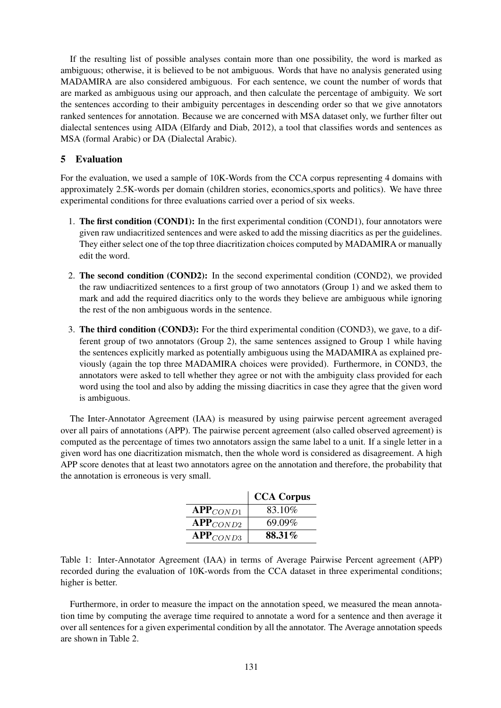If the resulting list of possible analyses contain more than one possibility, the word is marked as ambiguous; otherwise, it is believed to be not ambiguous. Words that have no analysis generated using MADAMIRA are also considered ambiguous. For each sentence, we count the number of words that are marked as ambiguous using our approach, and then calculate the percentage of ambiguity. We sort the sentences according to their ambiguity percentages in descending order so that we give annotators ranked sentences for annotation. Because we are concerned with MSA dataset only, we further filter out dialectal sentences using AIDA (Elfardy and Diab, 2012), a tool that classifies words and sentences as MSA (formal Arabic) or DA (Dialectal Arabic).

## 5 Evaluation

For the evaluation, we used a sample of 10K-Words from the CCA corpus representing 4 domains with approximately 2.5K-words per domain (children stories, economics,sports and politics). We have three experimental conditions for three evaluations carried over a period of six weeks.

- 1. The first condition (COND1): In the first experimental condition (COND1), four annotators were given raw undiacritized sentences and were asked to add the missing diacritics as per the guidelines. They either select one of the top three diacritization choices computed by MADAMIRA or manually edit the word.
- 2. The second condition (COND2): In the second experimental condition (COND2), we provided the raw undiacritized sentences to a first group of two annotators (Group 1) and we asked them to mark and add the required diacritics only to the words they believe are ambiguous while ignoring the rest of the non ambiguous words in the sentence.
- 3. The third condition (COND3): For the third experimental condition (COND3), we gave, to a different group of two annotators (Group 2), the same sentences assigned to Group 1 while having the sentences explicitly marked as potentially ambiguous using the MADAMIRA as explained previously (again the top three MADAMIRA choices were provided). Furthermore, in COND3, the annotators were asked to tell whether they agree or not with the ambiguity class provided for each word using the tool and also by adding the missing diacritics in case they agree that the given word is ambiguous.

The Inter-Annotator Agreement (IAA) is measured by using pairwise percent agreement averaged over all pairs of annotations (APP). The pairwise percent agreement (also called observed agreement) is computed as the percentage of times two annotators assign the same label to a unit. If a single letter in a given word has one diacritization mismatch, then the whole word is considered as disagreement. A high APP score denotes that at least two annotators agree on the annotation and therefore, the probability that the annotation is erroneous is very small.

|               | <b>CCA Corpus</b> |
|---------------|-------------------|
| $APP_{COND1}$ | 83.10%            |
| $APP_{COND2}$ | 69.09%            |
| $APP_{COND3}$ | 88.31%            |

Table 1: Inter-Annotator Agreement (IAA) in terms of Average Pairwise Percent agreement (APP) recorded during the evaluation of 10K-words from the CCA dataset in three experimental conditions; higher is better.

Furthermore, in order to measure the impact on the annotation speed, we measured the mean annotation time by computing the average time required to annotate a word for a sentence and then average it over all sentences for a given experimental condition by all the annotator. The Average annotation speeds are shown in Table 2.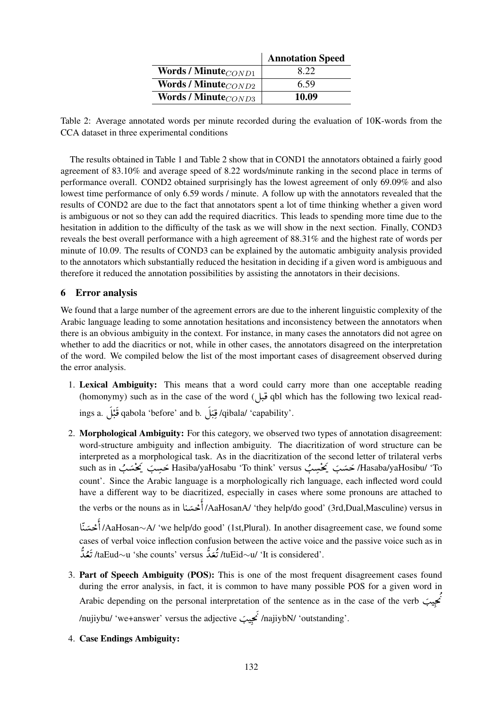|                           | <b>Annotation Speed</b> |
|---------------------------|-------------------------|
| Words / Minute $_{COND1}$ | 8.22                    |
| Words / Minute $_{COND2}$ | 6.59                    |
| Words / Minute $_{COND3}$ | 10.09                   |

Table 2: Average annotated words per minute recorded during the evaluation of 10K-words from the CCA dataset in three experimental conditions

The results obtained in Table 1 and Table 2 show that in COND1 the annotators obtained a fairly good agreement of 83.10% and average speed of 8.22 words/minute ranking in the second place in terms of performance overall. COND2 obtained surprisingly has the lowest agreement of only 69.09% and also lowest time performance of only 6.59 words / minute. A follow up with the annotators revealed that the results of COND2 are due to the fact that annotators spent a lot of time thinking whether a given word is ambiguous or not so they can add the required diacritics. This leads to spending more time due to the hesitation in addition to the difficulty of the task as we will show in the next section. Finally, COND3 reveals the best overall performance with a high agreement of 88.31% and the highest rate of words per minute of 10.09. The results of COND3 can be explained by the automatic ambiguity analysis provided to the annotators which substantially reduced the hesitation in deciding if a given word is ambiguous and therefore it reduced the annotation possibilities by assisting the annotators in their decisions.

## 6 Error analysis

We found that a large number of the agreement errors are due to the inherent linguistic complexity of the Arabic language leading to some annotation hesitations and inconsistency between the annotators when there is an obvious ambiguity in the context. For instance, in many cases the annotators did not agree on whether to add the diacritics or not, while in other cases, the annotators disagreed on the interpretation of the word. We compiled below the list of the most important cases of disagreement observed during the error analysis.

1. Lexical Ambiguity: This means that a word could carry more than one acceptable reading (homonymy) such as in the case of the word (قبل)  $q$ bl which has the following two lexical read-.<br>ق

ings a. É ¯ qabola 'before' and b. É ¯ /qibala/ 'capability'.  $\overline{1}$  $\ddot{\cdot}$  $\frac{1}{2}$ .  $\frac{1}{2}$ ã  $\overline{1}$  $\frac{1}{2}$  $\frac{1}{2}$ . <u>ة</u> Į

- 2. Morphological Ambiguity: For this category, we observed two types of annotation disagreement: word-structure ambiguity and inflection ambiguity. The diacritization of word structure can be interpreted as a morphological task. As in the diacritization of the second letter of trilateral verbs such as in حسَبَ Kasiba/yaHosabu 'To think' versus حَسَبَ Intervention مَسْبَ الله Such as in حَسَبَ الله Hasaba/yaHosibu/ 'To .  $\ddot{\phantom{0}}$  $\begin{bmatrix} 1 \\ 1 \\ 2 \end{bmatrix}$  $\ddot{\phantom{0}}$ .<br>ئ  $\cdot$  $\ddot{\phantom{0}}$ . count'. Since the Arabic language is a morphologically rich language, each inflected word could have a different way to be diacritized, especially in cases where some pronouns are attached to the verbs or the nouns as in أُحْسَنا /AaHosanA/ 'they help/do good' (3rd,Dual,Masculine) versus in :  $\ddot{ }$ ーミー أ A  $\frac{1}{2}$ ֦֧֦֧֦֧֦֧֦֧֦֧֦֧֝֝֜*֪*<br>֧֝  $\frac{1}{2}$  k @ /AaHosan∼A/ 'we help/do good' (1st,Plural). In another disagreement case, we found some ٤ أأ cases of verbal voice inflection confusion between the active voice and the passive voice such as in ر<br>ا د<br>ر .'tuEid∼u/ 'It is considered' تَعُدَّ tuEid∼u/ 'It is considered'. ś .<br>ز :<br>ت ا<br>ا د<br>ز ś ز ز
- 3. Part of Speech Ambiguity (POS): This is one of the most frequent disagreement cases found during the error analysis, in fact, it is common to have many possible POS for a given word in Arabic depending on the personal interpretation of the sentence as in the case of the verb I .  $\ddot{\cdot}$  $\ddot{\cdot}$ m . İ  $\ddot{\cdot}$  $\vdots$ /nujiybu/ 'we+answer' versus the adjective I /najiybN/ 'outstanding'. .  $\ddot{\cdot}$  $\ddot{\cdot}$ m .  $\ddot{\phantom{0}}$  $\ddot{\cdot}$  $\ddot{\phantom{0}}$
- 4. Case Endings Ambiguity: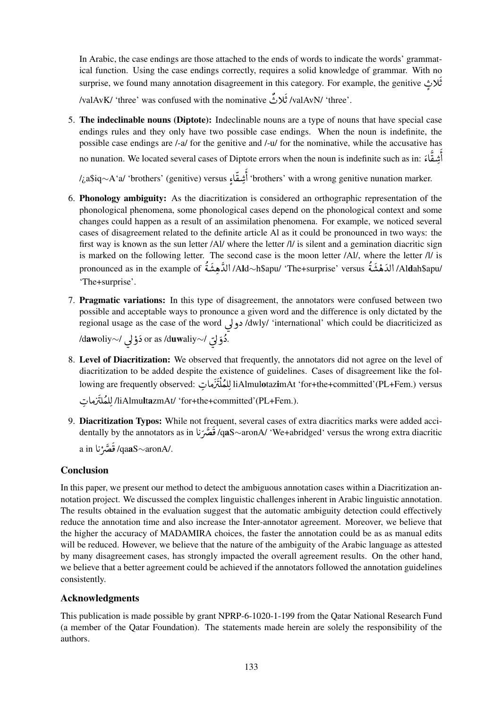In Arabic, the case endings are those attached to the ends of words to indicate the words' grammatical function. Using the case endings correctly, requires a solid knowledge of grammar. With no surprise, we found many annotation disagreement in this category. For example, the genitive H C  $\overline{\phantom{a}}$ しょう ر<br>ق ث

.'valAvK/ 'three' was confused with the nominative تُلاثٌ /valAvN/ 'three' など  $\ddot{\cdot}$ د<br>ن

5. The indeclinable nouns (Diptote): Indeclinable nouns are a type of nouns that have special case endings rules and they only have two possible case endings. When the noun is indefinite, the possible case endings are /-a/ for the genitive and /-u/ for the nominative, while the accusative has errors when the noun is indefinite such as in: وَسُقَّاءَ no nunation. We located several cases of Diptote errors when the noun is indefinite such as in: وَ  $\frac{1}{2}$  $\frac{3}{2}$  $\ddot{ }$ د<br>آ أ @  $\frac{1}{2}$ ٤ أ

/¿a\$iq∼A'a/ 'brothers' (genitive) versus Z ® @ 'brothers' with a wrong genitive nunation marker. s<br>= A  $\frac{1}{2}$ 

- 6. Phonology ambiguity: As the diacritization is considered an orthographic representation of the phonological phenomena, some phonological cases depend on the phonological context and some changes could happen as a result of an assimilation phenomena. For example, we noticed several cases of disagreement related to the definite article Al as it could be pronounced in two ways: the first way is known as the sun letter /Al/ where the letter /l/ is silent and a gemination diacritic sign is marked on the following letter. The second case is the moon letter /Al/, where the letter /l/ is /Aldah\$apu/ الدَهْشَةُ Ald∞h\$apu/ 'The+surprise' versus/ الدَّهِشَةُ /Ald∆h\$apu/ الدَّهشَةُ /Aldah ر<br>2 ر<br>4  $\frac{1}{2}$  $\frac{1}{2}$  $\frac{1}{2}$ نه<br>ل ر<br>24 ر<br>4  $\frac{1}{2}$ á  $\ddot{\cdot}$ 'The+surprise'.
- 7. Pragmatic variations: In this type of disagreement, the annotators were confused between two possible and acceptable ways to pronounce a given word and the difference is only dictated by the regional usage as the case of the word دولي /dwly/ 'international' which could be diacriticized as  $\overline{\phantom{a}}$ .دُوَلِّي /∽or as /d**uw**aliy دَوْلي /⊲d**aw**oliy  $\overline{a}$  $\ddot{\bullet}$  $\ddot{\cdot}$  $\overline{\phantom{a}}$ ś  $\ddot{\cdot}$
- 8. Level of Diacritization: We observed that frequently, the annotators did not agree on the level of diacritization to be added despite the existence of guidelines. Cases of disagreement like the following are frequently observed: لِلعُلْتَزَماتِ liAlmulotazimAt 'for+the+committed'(PL+Fem.) versus -<br>7  $\frac{1}{2}$  $\frac{1}{1}$ ã Ñ `。 Ê ڒ ر<br>أ

H AÓ Q Ê ÒÊË /liAlmultazmAt/ 'for+the+committed'(PL+Fem.). ;<br>∶  $\frac{1}{1}$ :<br>أ ر<br>أ

9. Diacritization Typos: While not frequent, several cases of extra diacritics marks were added accidentally by the annotators as in تَصَرَنا qaS∼aronA/ 'We+abridged' versus the wrong extra diacritic ; ز<br>.  $\frac{1}{2}$ ن<br>م ジニュ j ./qa**aS**∼aronA قَصَّرْنا a in ; ز<br>.  $\tilde{z}$ ن<br>م  $\frac{1}{2}$ ة

# Conclusion

In this paper, we present our method to detect the ambiguous annotation cases within a Diacritization annotation project. We discussed the complex linguistic challenges inherent in Arabic linguistic annotation. The results obtained in the evaluation suggest that the automatic ambiguity detection could effectively reduce the annotation time and also increase the Inter-annotator agreement. Moreover, we believe that the higher the accuracy of MADAMIRA choices, the faster the annotation could be as as manual edits will be reduced. However, we believe that the nature of the ambiguity of the Arabic language as attested by many disagreement cases, has strongly impacted the overall agreement results. On the other hand, we believe that a better agreement could be achieved if the annotators followed the annotation guidelines consistently.

# Acknowledgments

This publication is made possible by grant NPRP-6-1020-1-199 from the Qatar National Research Fund (a member of the Qatar Foundation). The statements made herein are solely the responsibility of the authors.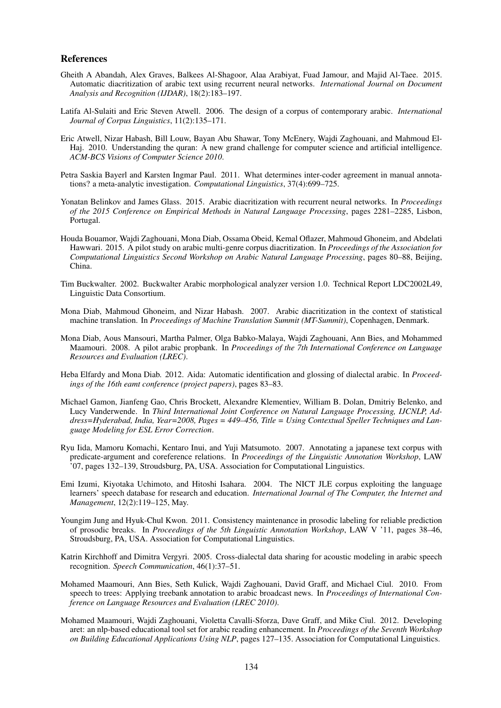#### References

- Gheith A Abandah, Alex Graves, Balkees Al-Shagoor, Alaa Arabiyat, Fuad Jamour, and Majid Al-Taee. 2015. Automatic diacritization of arabic text using recurrent neural networks. *International Journal on Document Analysis and Recognition (IJDAR)*, 18(2):183–197.
- Latifa Al-Sulaiti and Eric Steven Atwell. 2006. The design of a corpus of contemporary arabic. *International Journal of Corpus Linguistics*, 11(2):135–171.
- Eric Atwell, Nizar Habash, Bill Louw, Bayan Abu Shawar, Tony McEnery, Wajdi Zaghouani, and Mahmoud El-Haj. 2010. Understanding the quran: A new grand challenge for computer science and artificial intelligence. *ACM-BCS Visions of Computer Science 2010*.
- Petra Saskia Bayerl and Karsten Ingmar Paul. 2011. What determines inter-coder agreement in manual annotations? a meta-analytic investigation. *Computational Linguistics*, 37(4):699–725.
- Yonatan Belinkov and James Glass. 2015. Arabic diacritization with recurrent neural networks. In *Proceedings of the 2015 Conference on Empirical Methods in Natural Language Processing*, pages 2281–2285, Lisbon, Portugal.
- Houda Bouamor, Wajdi Zaghouani, Mona Diab, Ossama Obeid, Kemal Oflazer, Mahmoud Ghoneim, and Abdelati Hawwari. 2015. A pilot study on arabic multi-genre corpus diacritization. In *Proceedings of the Association for Computational Linguistics Second Workshop on Arabic Natural Language Processing*, pages 80–88, Beijing, China.
- Tim Buckwalter. 2002. Buckwalter Arabic morphological analyzer version 1.0. Technical Report LDC2002L49, Linguistic Data Consortium.
- Mona Diab, Mahmoud Ghoneim, and Nizar Habash. 2007. Arabic diacritization in the context of statistical machine translation. In *Proceedings of Machine Translation Summit (MT-Summit)*, Copenhagen, Denmark.
- Mona Diab, Aous Mansouri, Martha Palmer, Olga Babko-Malaya, Wajdi Zaghouani, Ann Bies, and Mohammed Maamouri. 2008. A pilot arabic propbank. In *Proceedings of the 7th International Conference on Language Resources and Evaluation (LREC)*.
- Heba Elfardy and Mona Diab. 2012. Aida: Automatic identification and glossing of dialectal arabic. In *Proceedings of the 16th eamt conference (project papers)*, pages 83–83.
- Michael Gamon, Jianfeng Gao, Chris Brockett, Alexandre Klementiev, William B. Dolan, Dmitriy Belenko, and Lucy Vanderwende. In *Third International Joint Conference on Natural Language Processing, IJCNLP, Address=Hyderabad, India, Year=2008, Pages = 449–456, Title = Using Contextual Speller Techniques and Language Modeling for ESL Error Correction*.
- Ryu Iida, Mamoru Komachi, Kentaro Inui, and Yuji Matsumoto. 2007. Annotating a japanese text corpus with predicate-argument and coreference relations. In *Proceedings of the Linguistic Annotation Workshop*, LAW '07, pages 132–139, Stroudsburg, PA, USA. Association for Computational Linguistics.
- Emi Izumi, Kiyotaka Uchimoto, and Hitoshi Isahara. 2004. The NICT JLE corpus exploiting the language learners' speech database for research and education. *International Journal of The Computer, the Internet and Management*, 12(2):119–125, May.
- Youngim Jung and Hyuk-Chul Kwon. 2011. Consistency maintenance in prosodic labeling for reliable prediction of prosodic breaks. In *Proceedings of the 5th Linguistic Annotation Workshop*, LAW V '11, pages 38–46, Stroudsburg, PA, USA. Association for Computational Linguistics.
- Katrin Kirchhoff and Dimitra Vergyri. 2005. Cross-dialectal data sharing for acoustic modeling in arabic speech recognition. *Speech Communication*, 46(1):37–51.
- Mohamed Maamouri, Ann Bies, Seth Kulick, Wajdi Zaghouani, David Graff, and Michael Ciul. 2010. From speech to trees: Applying treebank annotation to arabic broadcast news. In *Proceedings of International Conference on Language Resources and Evaluation (LREC 2010)*.
- Mohamed Maamouri, Wajdi Zaghouani, Violetta Cavalli-Sforza, Dave Graff, and Mike Ciul. 2012. Developing aret: an nlp-based educational tool set for arabic reading enhancement. In *Proceedings of the Seventh Workshop on Building Educational Applications Using NLP*, pages 127–135. Association for Computational Linguistics.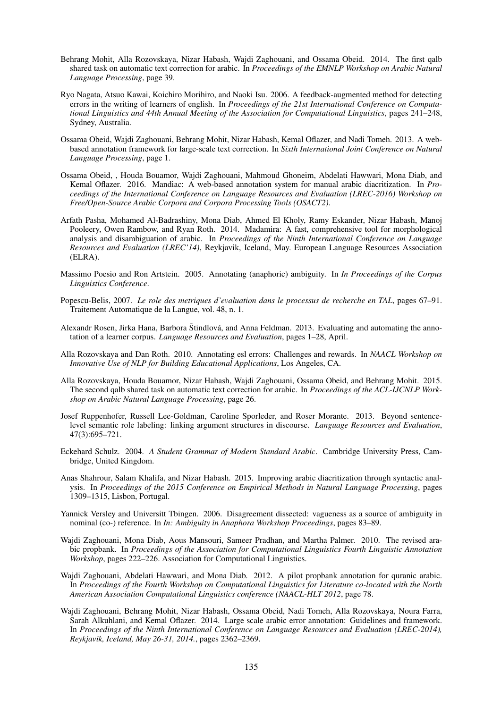- Behrang Mohit, Alla Rozovskaya, Nizar Habash, Wajdi Zaghouani, and Ossama Obeid. 2014. The first qalb shared task on automatic text correction for arabic. In *Proceedings of the EMNLP Workshop on Arabic Natural Language Processing*, page 39.
- Ryo Nagata, Atsuo Kawai, Koichiro Morihiro, and Naoki Isu. 2006. A feedback-augmented method for detecting errors in the writing of learners of english. In *Proceedings of the 21st International Conference on Computational Linguistics and 44th Annual Meeting of the Association for Computational Linguistics*, pages 241–248, Sydney, Australia.
- Ossama Obeid, Wajdi Zaghouani, Behrang Mohit, Nizar Habash, Kemal Oflazer, and Nadi Tomeh. 2013. A webbased annotation framework for large-scale text correction. In *Sixth International Joint Conference on Natural Language Processing*, page 1.
- Ossama Obeid, , Houda Bouamor, Wajdi Zaghouani, Mahmoud Ghoneim, Abdelati Hawwari, Mona Diab, and Kemal Oflazer. 2016. Mandiac: A web-based annotation system for manual arabic diacritization. In *Proceedings of the International Conference on Language Resources and Evaluation (LREC-2016) Workshop on Free/Open-Source Arabic Corpora and Corpora Processing Tools (OSACT2)*.
- Arfath Pasha, Mohamed Al-Badrashiny, Mona Diab, Ahmed El Kholy, Ramy Eskander, Nizar Habash, Manoj Pooleery, Owen Rambow, and Ryan Roth. 2014. Madamira: A fast, comprehensive tool for morphological analysis and disambiguation of arabic. In *Proceedings of the Ninth International Conference on Language Resources and Evaluation (LREC'14)*, Reykjavik, Iceland, May. European Language Resources Association (ELRA).
- Massimo Poesio and Ron Artstein. 2005. Annotating (anaphoric) ambiguity. In *In Proceedings of the Corpus Linguistics Conference*.
- Popescu-Belis, 2007. *Le role des metriques d'evaluation dans le processus de recherche en TAL*, pages 67–91. Traitement Automatique de la Langue, vol. 48, n. 1.
- Alexandr Rosen, Jirka Hana, Barbora Štindlová, and Anna Feldman. 2013. Evaluating and automating the annotation of a learner corpus. *Language Resources and Evaluation*, pages 1–28, April.
- Alla Rozovskaya and Dan Roth. 2010. Annotating esl errors: Challenges and rewards. In *NAACL Workshop on Innovative Use of NLP for Building Educational Applications*, Los Angeles, CA.
- Alla Rozovskaya, Houda Bouamor, Nizar Habash, Wajdi Zaghouani, Ossama Obeid, and Behrang Mohit. 2015. The second qalb shared task on automatic text correction for arabic. In *Proceedings of the ACL-IJCNLP Workshop on Arabic Natural Language Processing*, page 26.
- Josef Ruppenhofer, Russell Lee-Goldman, Caroline Sporleder, and Roser Morante. 2013. Beyond sentencelevel semantic role labeling: linking argument structures in discourse. *Language Resources and Evaluation*, 47(3):695–721.
- Eckehard Schulz. 2004. *A Student Grammar of Modern Standard Arabic*. Cambridge University Press, Cambridge, United Kingdom.
- Anas Shahrour, Salam Khalifa, and Nizar Habash. 2015. Improving arabic diacritization through syntactic analysis. In *Proceedings of the 2015 Conference on Empirical Methods in Natural Language Processing*, pages 1309–1315, Lisbon, Portugal.
- Yannick Versley and Universitt Tbingen. 2006. Disagreement dissected: vagueness as a source of ambiguity in nominal (co-) reference. In *In: Ambiguity in Anaphora Workshop Proceedings*, pages 83–89.
- Wajdi Zaghouani, Mona Diab, Aous Mansouri, Sameer Pradhan, and Martha Palmer. 2010. The revised arabic propbank. In *Proceedings of the Association for Computational Linguistics Fourth Linguistic Annotation Workshop*, pages 222–226. Association for Computational Linguistics.
- Wajdi Zaghouani, Abdelati Hawwari, and Mona Diab. 2012. A pilot propbank annotation for quranic arabic. In *Proceedings of the Fourth Workshop on Computational Linguistics for Literature co-located with the North American Association Computational Linguistics conference (NAACL-HLT 2012*, page 78.
- Wajdi Zaghouani, Behrang Mohit, Nizar Habash, Ossama Obeid, Nadi Tomeh, Alla Rozovskaya, Noura Farra, Sarah Alkuhlani, and Kemal Oflazer. 2014. Large scale arabic error annotation: Guidelines and framework. In *Proceedings of the Ninth International Conference on Language Resources and Evaluation (LREC-2014), Reykjavik, Iceland, May 26-31, 2014.*, pages 2362–2369.